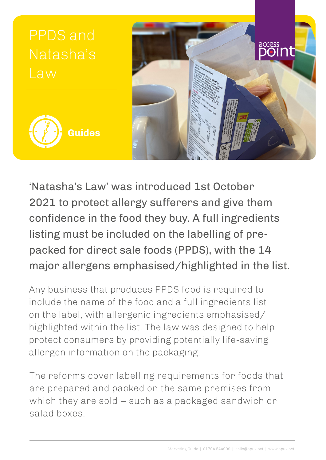

'Natasha's Law' was introduced 1st October 2021 to protect allergy sufferers and give them confidence in the food they buy. A full ingredients listing must be included on the labelling of prepacked for direct sale foods (PPDS), with the 14 major allergens emphasised/highlighted in the list.

Any business that produces PPDS food is required to include the name of the food and a full ingredients list on the label, with allergenic ingredients emphasised/ highlighted within the list. The law was designed to help protect consumers by providing potentially life-saving allergen information on the packaging.

The reforms cover labelling requirements for foods that are prepared and packed on the same premises from which they are sold – such as a packaged sandwich or salad boxes.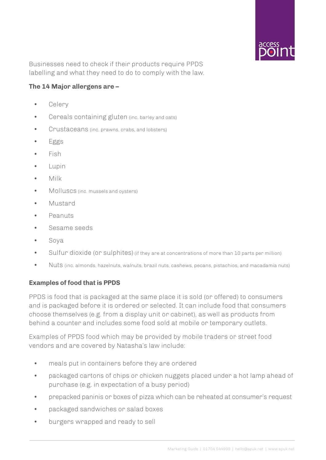

Businesses need to check if their products require PPDS labelling and what they need to do to comply with the law.

### **The 14 Major allergens are –**

- Celery
- Cereals containing gluten (inc. barley and oats)
- Crustaceans (inc. prawns, crabs, and lobsters)
- Eggs
- Fish
- Lupin
- Milk
- Molluscs (inc. mussels and oysters)
- Mustard
- Peanuts
- Sesame seeds
- Soya
- Sulfur dioxide (or sulphites) (if they are at concentrations of more than 10 parts per million)
- Nuts (inc. almonds, hazelnuts, walnuts, brazil nuts, cashews, pecans, pistachios, and macadamia nuts)

#### **Examples of food that is PPDS**

PPDS is food that is packaged at the same place it is sold (or offered) to consumers and is packaged before it is ordered or selected. It can include food that consumers choose themselves (e.g. from a display unit or cabinet), as well as products from behind a counter and includes some food sold at mobile or temporary outlets.

Examples of PPDS food which may be provided by mobile traders or street food vendors and are covered by Natasha's law include:

- meals put in containers before they are ordered
- packaged cartons of chips or chicken nuggets placed under a hot lamp ahead of purchase (e.g. in expectation of a busy period)
- prepacked paninis or boxes of pizza which can be reheated at consumer's request
- packaged sandwiches or salad boxes
- burgers wrapped and ready to sell